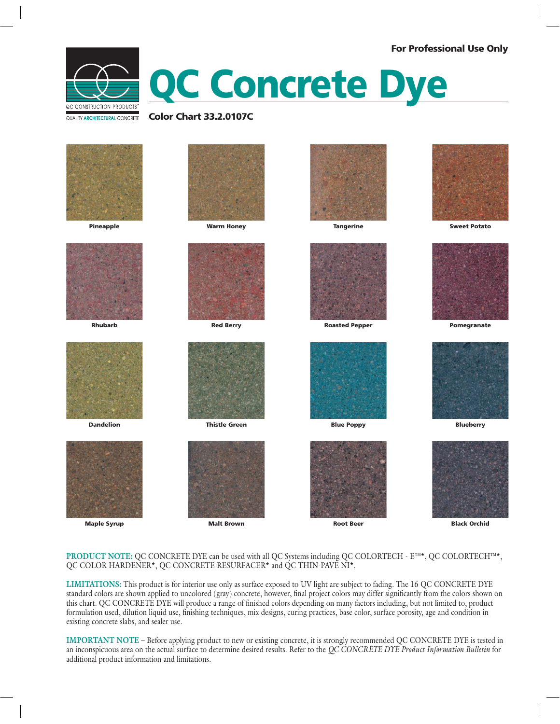**For Professional Use Only**



**QC Concrete Dye**

**Color Chart 33.2.0107C**



**Maple Syrup**

**PRODUCT NOTE:** QC CONCRETE DYE can be used with all QC Systems including QC COLORTECH - E™\*, QC COLORTECH™\*, QC COLOR HARDENER\*, QC CONCRETE RESURFACER\* and QC THIN-PAVE NI\*.

**LIMITATIONS:** This product is for interior use only as surface exposed to UV light are subject to fading. The 16 QC CONCRETE DYE standard colors are shown applied to uncolored (gray) concrete, however, final project colors may differ significantly from the colors shown on this chart. QC CONCRETE DYE will produce a range of finished colors depending on many factors including, but not limited to, product formulation used, dilution liquid use, finishing techniques, mix designs, curing practices, base color, surface porosity, age and condition in existing concrete slabs, and sealer use.

**IMPORTANT NOTE** – Before applying product to new or existing concrete, it is strongly recommended QC CONCRETE DYE is tested in an inconspicuous area on the actual surface to determine desired results. Refer to the *QC CONCRETE DYE Product Information Bulletin* for additional product information and limitations.